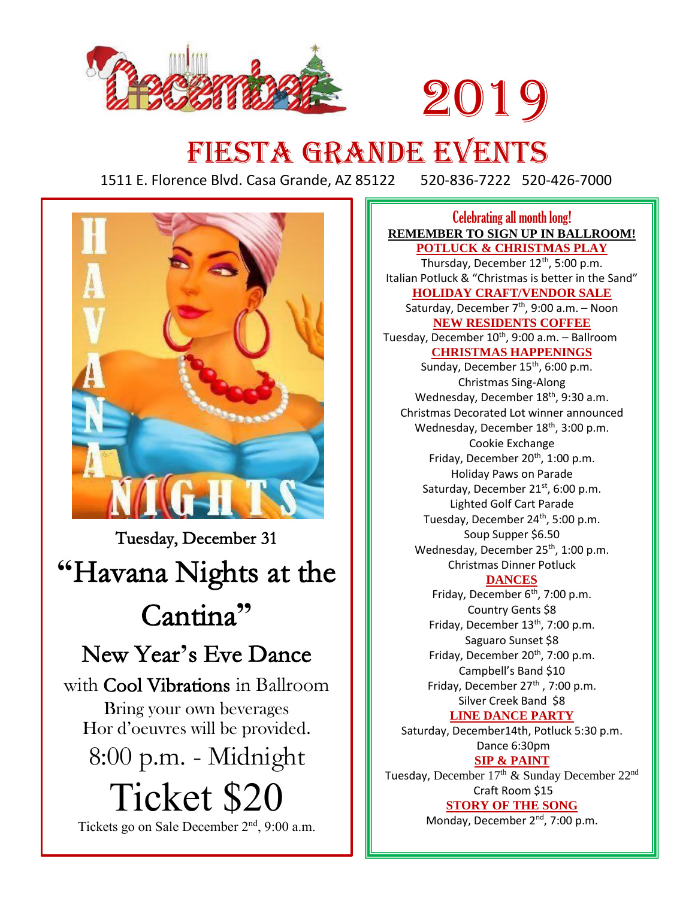

# 2019

# FIESTA GRANDE EVENTS

1511 E. Florence Blvd. Casa Grande, AZ 85122 520-836-7222 520-426-7000



Tuesday, December 31 **"**Havana Nights at the Cantina**"** New Year**'**s Eve Dance with Cool Vibrations in Ballroom Bring your own beverages Hor d'oeuvres will be provided. 8:00 p.m. - Midnight Ticket \$20

Tickets go on Sale December 2<sup>nd</sup>, 9:00 a.m.

Celebrating all month long! **REMEMBER TO SIGN UP IN BALLROOM! POTLUCK & CHRISTMAS PLAY** Thursday, December 12<sup>th</sup>, 5:00 p.m. Italian Potluck & "Christmas is better in the Sand" **HOLIDAY CRAFT/VENDOR SALE** Saturday, December 7<sup>th</sup>, 9:00 a.m. – Noon **NEW RESIDENTS COFFEE** Tuesday, December 10<sup>th</sup>, 9:00 a.m. - Ballroom **CHRISTMAS HAPPENINGS** Sunday, December 15<sup>th</sup>, 6:00 p.m. Christmas Sing-Along Wednesday, December 18<sup>th</sup>, 9:30 a.m. Christmas Decorated Lot winner announced Wednesday, December 18<sup>th</sup>, 3:00 p.m. Cookie Exchange Friday, December  $20<sup>th</sup>$ , 1:00 p.m. Holiday Paws on Parade Saturday, December 21<sup>st</sup>, 6:00 p.m. Lighted Golf Cart Parade Tuesday, December 24<sup>th</sup>, 5:00 p.m. Soup Supper \$6.50 Wednesday, December 25<sup>th</sup>, 1:00 p.m. Christmas Dinner Potluck **DANCES** Friday, December  $6<sup>th</sup>$ , 7:00 p.m. Country Gents \$8 Friday, December 13<sup>th</sup>, 7:00 p.m. Saguaro Sunset \$8 Friday, December 20<sup>th</sup>, 7:00 p.m. Campbell's Band \$10 Friday, December  $27<sup>th</sup>$ , 7:00 p.m. Silver Creek Band \$8 **LINE DANCE PARTY** Saturday, December14th, Potluck 5:30 p.m. Dance 6:30pm **SIP & PAINT** Tuesday, December 17<sup>th</sup> & Sunday December 22<sup>nd</sup> Craft Room \$15 **STORY OF THE SONG**  Monday, December 2<sup>nd</sup>, 7:00 p.m.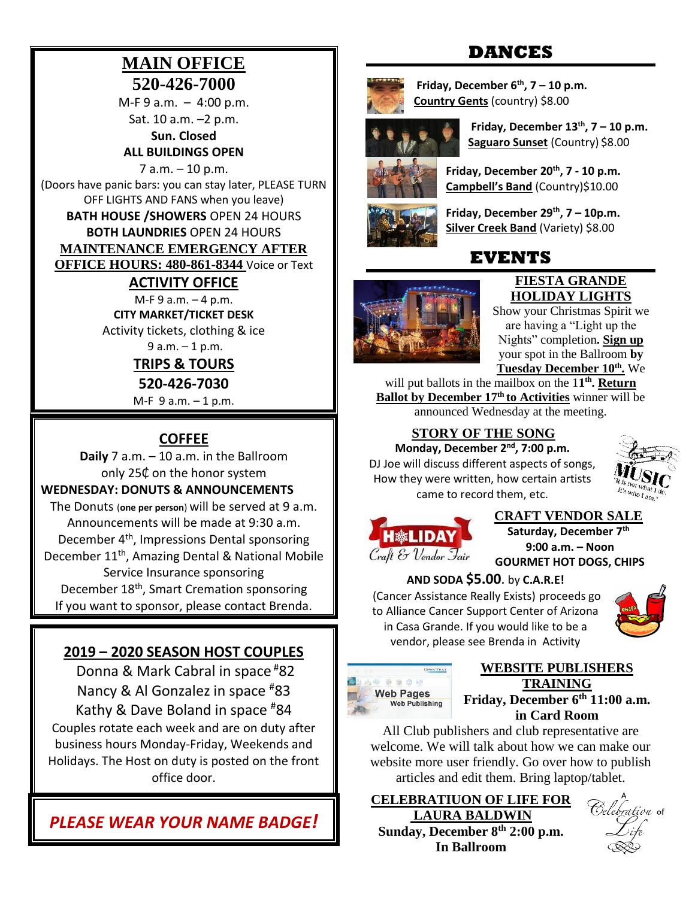# **MAIN OFFICE 520-426-7000**

 $M-F 9 a.m. - 4:00 p.m.$ Sat. 10 a.m. –2 p.m.

**Sun. Closed ALL BUILDINGS OPEN**

7 a.m. – 10 p.m. (Doors have panic bars: you can stay later, PLEASE TURN OFF LIGHTS AND FANS when you leave) **BATH HOUSE /SHOWERS** OPEN 24 HOURS **BOTH LAUNDRIES** OPEN 24 HOURS **MAINTENANCE EMERGENCY AFTER** 

**OFFICE HOURS: 480-861-8344** Voice or Text

### **ACTIVITY OFFICE**

M-F 9 a.m. – 4 p.m. **CITY MARKET/TICKET DESK** Activity tickets, clothing & ice

 $9 a.m. - 1 p.m.$ 

# **TRIPS & TOURS**

**520-426-7030**

M-F 9 a.m. – 1 p.m.

# **COFFEE**

**Daily** 7 a.m. – 10 a.m. in the Ballroom only 25₵ on the honor system

#### **WEDNESDAY: DONUTS & ANNOUNCEMENTS**

The Donuts (**one per person**) will be served at 9 a.m. Announcements will be made at 9:30 a.m. December 4<sup>th</sup>, Impressions Dental sponsoring December 11<sup>th</sup>, Amazing Dental & National Mobile Service Insurance sponsoring December 18<sup>th</sup>, Smart Cremation sponsoring If you want to sponsor, please contact Brenda.

## **2019 – 2020 SEASON HOST COUPLES**

Donna & Mark Cabral in space #82 Nancy & Al Gonzalez in space #83 Kathy & Dave Boland in space #84 Couples rotate each week and are on duty after business hours Monday-Friday, Weekends and Holidays. The Host on duty is posted on the front office door.

*PLEASE WEAR YOUR NAME BADGE!*

# **DANCES**



**Friday, December 6th, 7 – 10 p.m. Country Gents** (country) \$8.00



**Friday, December 13th, 7 – 10 p.m. Saguaro Sunset** (Country) \$8.00

**Friday, December 20th, 7 - 10 p.m. Campbell's Band** (Country)\$10.00

**Friday, December 29th, 7 – 10p.m. Silver Creek Band** (Variety) \$8.00

# **EVENTS**



#### **FIESTA GRANDE HOLIDAY LIGHTS**

Show your Christmas Spirit we are having a "Light up the Nights" completion**. Sign up** your spot in the Ballroom **by Tuesday December 10th .** We

will put ballots in the mailbox on the 11<sup>th</sup>. Return **Ballot by December 17th to Activities** winner will be announced Wednesday at the meeting.

## **STORY OF THE SONG**

Monday, December 2<sup>nd</sup>, 7:00 p.m. DJ Joe will discuss different aspects of songs, How they were written, how certain artists came to record them, etc.





#### **CRAFT VENDOR SALE**

**Saturday, December 7th 9:00 a.m. – Noon GOURMET HOT DOGS, CHIPS** 



**AND SODA \$5.00**. by **C.A.R.E!**

(Cancer Assistance Really Exists) proceeds go to Alliance Cancer Support Center of Arizona in Casa Grande. If you would like to be a vendor, please see Brenda in Activity



#### **WEBSITE PUBLISHERS TRAINING Friday, December 6 th 11:00 a.m.**

**in Card Room**

All Club publishers and club representative are welcome. We will talk about how we can make our website more user friendly. Go over how to publish articles and edit them. Bring laptop/tablet.

**CELEBRATIUON OF LIFE FOR LAURA BALDWIN Sunday, December 8th 2:00 p.m. In Ballroom**

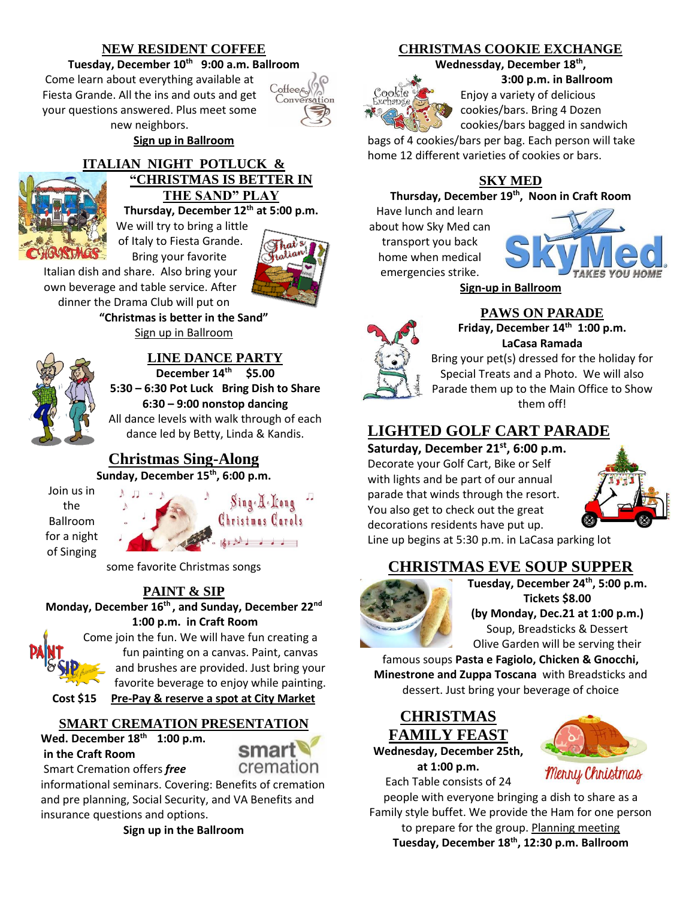#### **NEW RESIDENT COFFEE**

**Tuesday, December 10th 9:00 a.m. Ballroom**

Come learn about everything available at Fiesta Grande. All the ins and outs and get your questions answered. Plus meet some new neighbors.

Coffee<sub>s</sub> Conversation

**Sign up in Ballroom**

#### **ITALIAN NIGHT POTLUCK & "CHRISTMAS IS BETTER IN THE SAND" PLAY**

**Thursday, December 12th at 5:00 p.m.**

We will try to bring a little of Italy to Fiesta Grande. Bring your favorite

Italian dish and share. Also bring your own beverage and table service. After dinner the Drama Club will put on

**"Christmas is better in the Sand"** Sign up in Ballroom



# **LINE DANCE PARTY**

**December 14th \$5.00 5:30 – 6:30 Pot Luck Bring Dish to Share 6:30 – 9:00 nonstop dancing** All dance levels with walk through of each dance led by Betty, Linda & Kandis.

# **Christmas Sing-Along**

**Sunday, December 15 th, 6:00 p.m.**

Join us in the Ballroom for a night of Singing



some favorite Christmas songs

# **PAINT & SIP**

**Monday, December 16 th , and Sunday, December 22nd 1:00 p.m. in Craft Room**



[Com](http://www.google.com/url?sa=i&rct=j&q=&esrc=s&source=images&cd=&cad=rja&uact=8&ved=2ahUKEwjw7fOio9LeAhWJ5IMKHZXgCjIQjRx6BAgBEAU&url=http://innthewoodsatmichaywe.com/events/&psig=AOvVaw2TUjaYAfqYAh4gXu6Wgt_c&ust=1542229583311260)e join the fun. We will have fun creating a fun painting on a canvas. Paint, canvas and brushes are provided. Just bring your favorite beverage to enjoy while painting.

**Cost \$15 Pre-Pay & reserve a spot at City Market**

#### **SMART CREMATION PRESENTATION**

**Wed. December 18th 1:00 p.m. in the Craft Room**

cremation

Smart Cremation offers *free*

informational seminars. Covering: Benefits of cremation and pre planning, Social Security, and VA Benefits and insurance questions and options.

**Sign up in the Ballroom** 

### **CHRISTMAS COOKIE EXCHANGE**

Wednessday, December 18<sup>th</sup>,



**3:00 p.m. in Ballroom** Enjoy a variety of delicious cookies/bars. Bring 4 Dozen

cookies/bars bagged in sandwich bags of 4 cookies/bars per bag. Each person will take

home 12 different varieties of cookies or bars.

# **SKY MED**

#### **Thursday, December 19th, Noon in Craft Room**

Have lunch and learn about how Sky Med can transport you back home when medical emergencies strike.



**Sign-up in Ballroom**



# **PAWS ON PARADE**

**Friday, December 14 th 1:00 p.m. LaCasa Ramada**

Bring your pet(s) dressed for the holiday for Special Treats and a Photo. We will also Parade them up to the Main Office to Show them off!

# **LIGHTED GOLF CART PARADE**

**Saturday, December 21st, 6:00 p.m.**  Decorate your Golf Cart, Bike or Self with lights and be part of our annual parade that winds through the resort. You also get to check out the great decorations residents have put up.



Line up begins at 5:30 p.m. in LaCasa parking lot

# **CHRISTMAS EVE SOUP SUPPER**



**Tuesday, December 24th, 5:00 p.m. Tickets \$8.00 (by Monday, Dec.21 at 1:00 p.m.)** Soup, Breadsticks & Dessert Olive Garden will be serving their

famous soups **Pasta e Fagiolo, Chicken & Gnocchi, Minestrone and Zuppa Toscana** with Breadsticks and dessert. Just bring your beverage of choice

**CHRISTMAS FAMILY FEAST Wednesday, December 25th, at 1:00 p.m.**



Each Table consists of 24 people with everyone bringing a dish to share as a Family style buffet. We provide the Ham for one person to prepare for the group. Planning meeting **Tuesday, December 18 th, 12:30 p.m. Ballroom**